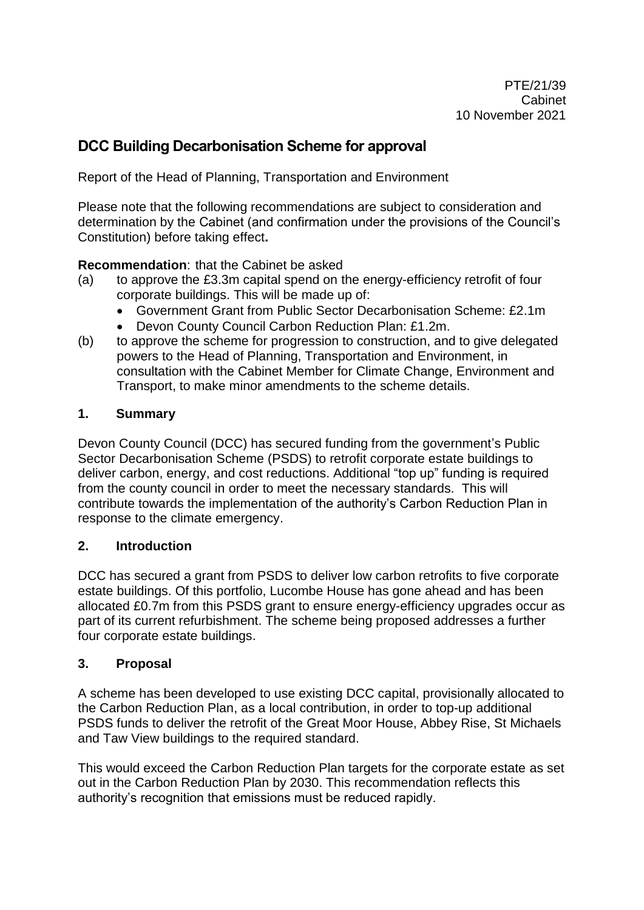# **DCC Building Decarbonisation Scheme for approval**

Report of the Head of Planning, Transportation and Environment

Please note that the following recommendations are subject to consideration and determination by the Cabinet (and confirmation under the provisions of the Council's Constitution) before taking effect**.**

### **Recommendation**: that the Cabinet be asked

- (a) to approve the £3.3m capital spend on the energy-efficiency retrofit of four corporate buildings. This will be made up of:
	- Government Grant from Public Sector Decarbonisation Scheme: £2.1m
	- Devon County Council Carbon Reduction Plan: £1.2m.
- (b) to approve the scheme for progression to construction, and to give delegated powers to the Head of Planning, Transportation and Environment, in consultation with the Cabinet Member for Climate Change, Environment and Transport, to make minor amendments to the scheme details.

#### **1. Summary**

Devon County Council (DCC) has secured funding from the government's Public Sector Decarbonisation Scheme (PSDS) to retrofit corporate estate buildings to deliver carbon, energy, and cost reductions. Additional "top up" funding is required from the county council in order to meet the necessary standards. This will contribute towards the implementation of the authority's Carbon Reduction Plan in response to the climate emergency.

#### **2. Introduction**

DCC has secured a grant from PSDS to deliver low carbon retrofits to five corporate estate buildings. Of this portfolio, Lucombe House has gone ahead and has been allocated £0.7m from this PSDS grant to ensure energy-efficiency upgrades occur as part of its current refurbishment. The scheme being proposed addresses a further four corporate estate buildings.

#### **3. Proposal**

A scheme has been developed to use existing DCC capital, provisionally allocated to the Carbon Reduction Plan, as a local contribution, in order to top-up additional PSDS funds to deliver the retrofit of the Great Moor House, Abbey Rise, St Michaels and Taw View buildings to the required standard.

This would exceed the Carbon Reduction Plan targets for the corporate estate as set out in the Carbon Reduction Plan by 2030. This recommendation reflects this authority's recognition that emissions must be reduced rapidly.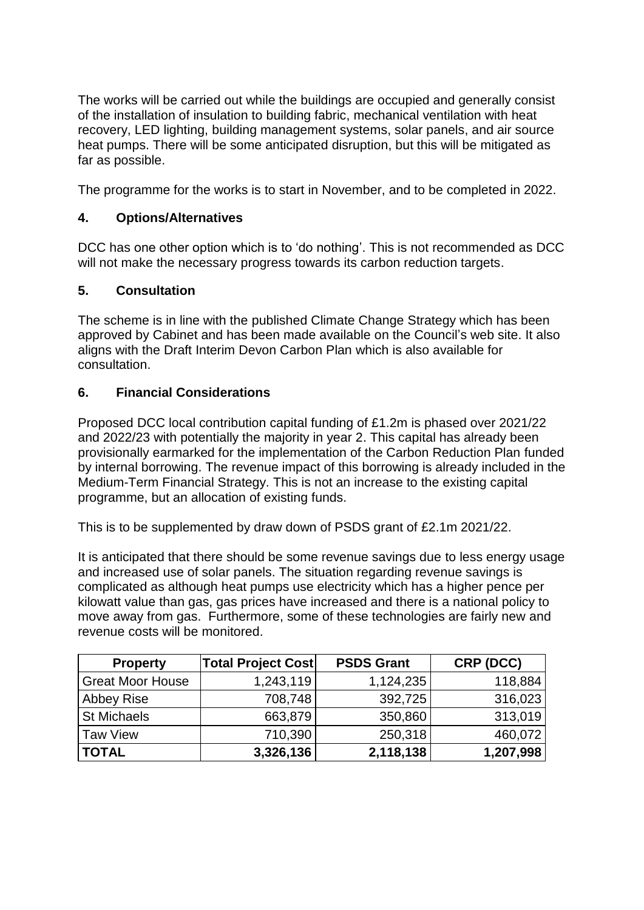The works will be carried out while the buildings are occupied and generally consist of the installation of insulation to building fabric, mechanical ventilation with heat recovery, LED lighting, building management systems, solar panels, and air source heat pumps. There will be some anticipated disruption, but this will be mitigated as far as possible.

The programme for the works is to start in November, and to be completed in 2022.

### **4. Options/Alternatives**

DCC has one other option which is to 'do nothing'. This is not recommended as DCC will not make the necessary progress towards its carbon reduction targets.

### **5. Consultation**

The scheme is in line with the published Climate Change Strategy which has been approved by Cabinet and has been made available on the Council's web site. It also aligns with the Draft Interim Devon Carbon Plan which is also available for consultation.

### **6. Financial Considerations**

Proposed DCC local contribution capital funding of £1.2m is phased over 2021/22 and 2022/23 with potentially the majority in year 2. This capital has already been provisionally earmarked for the implementation of the Carbon Reduction Plan funded by internal borrowing. The revenue impact of this borrowing is already included in the Medium-Term Financial Strategy. This is not an increase to the existing capital programme, but an allocation of existing funds.

This is to be supplemented by draw down of PSDS grant of £2.1m 2021/22.

It is anticipated that there should be some revenue savings due to less energy usage and increased use of solar panels. The situation regarding revenue savings is complicated as although heat pumps use electricity which has a higher pence per kilowatt value than gas, gas prices have increased and there is a national policy to move away from gas. Furthermore, some of these technologies are fairly new and revenue costs will be monitored.

| <b>Property</b>         | <b>Total Project Cost</b> | <b>PSDS Grant</b> | CRP (DCC) |
|-------------------------|---------------------------|-------------------|-----------|
| <b>Great Moor House</b> | 1,243,119                 | 1,124,235         | 118,884   |
| Abbey Rise              | 708,748                   | 392,725           | 316,023   |
| <b>St Michaels</b>      | 663,879                   | 350,860           | 313,019   |
| <b>Taw View</b>         | 710,390                   | 250,318           | 460,072   |
| <b>TOTAL</b>            | 3,326,136                 | 2,118,138         | 1,207,998 |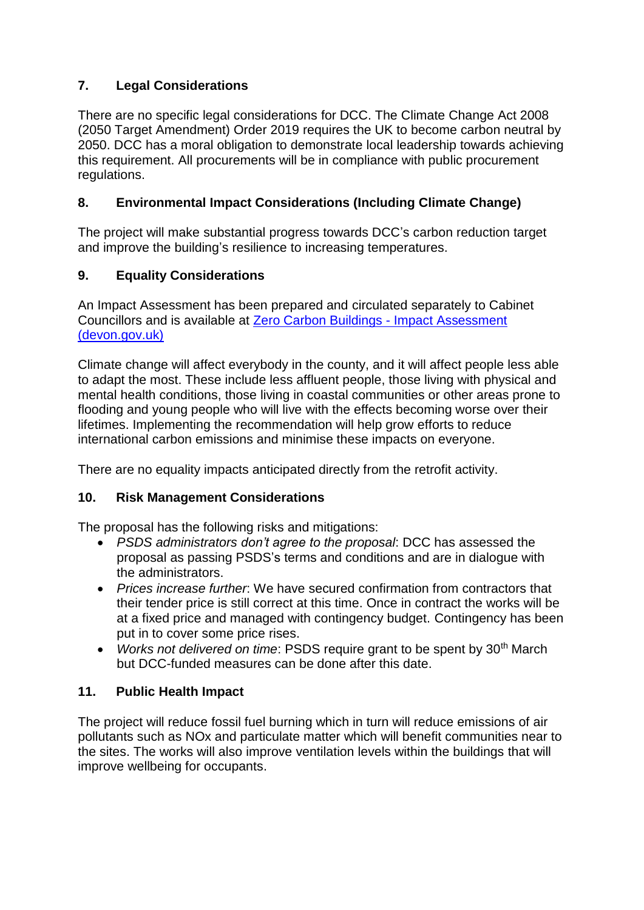## **7. Legal Considerations**

There are no specific legal considerations for DCC. The Climate Change Act 2008 (2050 Target Amendment) Order 2019 requires the UK to become carbon neutral by 2050. DCC has a moral obligation to demonstrate local leadership towards achieving this requirement. All procurements will be in compliance with public procurement regulations.

## **8. Environmental Impact Considerations (Including Climate Change)**

The project will make substantial progress towards DCC's carbon reduction target and improve the building's resilience to increasing temperatures.

# **9. Equality Considerations**

An Impact Assessment has been prepared and circulated separately to Cabinet Councillors and is available at [Zero Carbon Buildings -](https://eur02.safelinks.protection.outlook.com/?url=https%3A%2F%2Fwww.devon.gov.uk%2Fimpact%2Fzero-carbon-buildings%2F&data=04%7C01%7Cheather.kitt%40devon.gov.uk%7C08a20c701d36433803b408d99882771c%7C8da13783cb68443fbb4b997f77fd5bfb%7C0%7C0%7C637708508370341145%7CUnknown%7CTWFpbGZsb3d8eyJWIjoiMC4wLjAwMDAiLCJQIjoiV2luMzIiLCJBTiI6Ik1haWwiLCJXVCI6Mn0%3D%7C1000&sdata=E9LX9lS0GQ9bjD2RRrA2oL97d6MRqtkzHzAKan%2BKMNE%3D&reserved=0) Impact Assessment [\(devon.gov.uk\)](https://eur02.safelinks.protection.outlook.com/?url=https%3A%2F%2Fwww.devon.gov.uk%2Fimpact%2Fzero-carbon-buildings%2F&data=04%7C01%7Cheather.kitt%40devon.gov.uk%7C08a20c701d36433803b408d99882771c%7C8da13783cb68443fbb4b997f77fd5bfb%7C0%7C0%7C637708508370341145%7CUnknown%7CTWFpbGZsb3d8eyJWIjoiMC4wLjAwMDAiLCJQIjoiV2luMzIiLCJBTiI6Ik1haWwiLCJXVCI6Mn0%3D%7C1000&sdata=E9LX9lS0GQ9bjD2RRrA2oL97d6MRqtkzHzAKan%2BKMNE%3D&reserved=0)

Climate change will affect everybody in the county, and it will affect people less able to adapt the most. These include less affluent people, those living with physical and mental health conditions, those living in coastal communities or other areas prone to flooding and young people who will live with the effects becoming worse over their lifetimes. Implementing the recommendation will help grow efforts to reduce international carbon emissions and minimise these impacts on everyone.

There are no equality impacts anticipated directly from the retrofit activity.

## **10. Risk Management Considerations**

The proposal has the following risks and mitigations:

- *PSDS administrators don't agree to the proposal*: DCC has assessed the proposal as passing PSDS's terms and conditions and are in dialogue with the administrators.
- *Prices increase further*: We have secured confirmation from contractors that their tender price is still correct at this time. Once in contract the works will be at a fixed price and managed with contingency budget. Contingency has been put in to cover some price rises.
- Works not delivered on time: PSDS require grant to be spent by 30<sup>th</sup> March but DCC-funded measures can be done after this date.

## **11. Public Health Impact**

The project will reduce fossil fuel burning which in turn will reduce emissions of air pollutants such as NOx and particulate matter which will benefit communities near to the sites. The works will also improve ventilation levels within the buildings that will improve wellbeing for occupants.